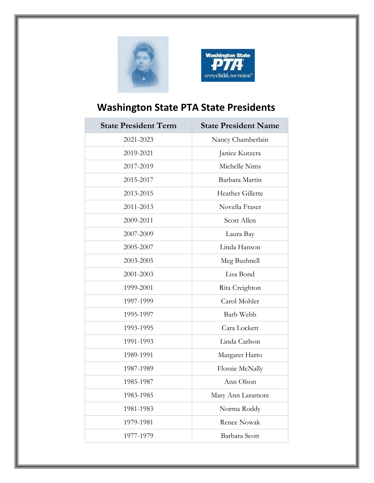



## **Washington State PTA State Presidents**

| <b>State President Term</b> | <b>State President Name</b> |
|-----------------------------|-----------------------------|
| 2021-2023                   | Nancy Chamberlain           |
| 2019-2021                   | Janice Kutzera              |
| 2017-2019                   | Michelle Nims               |
| 2015-2017                   | Barbara Martin              |
| 2013-2015                   | Heather Gillette            |
| 2011-2013                   | Novella Fraser              |
| 2009-2011                   | Scott Allen                 |
| 2007-2009                   | Laura Bay                   |
| 2005-2007                   | Linda Hanson                |
| 2003-2005                   | Meg Bushnell                |
| 2001-2003                   | Lisa Bond                   |
| 1999-2001                   | Rita Creighton              |
| 1997-1999                   | Carol Mohler                |
| 1995-1997                   | Barb Webb                   |
| 1993-1995                   | Cara Lockett                |
| 1991-1993                   | Linda Carlson               |
| 1989-1991                   | Margaret Harto              |
| 1987-1989                   | Flossie McNally             |
| 1985-1987                   | Ann Olson                   |
| 1983-1985                   | Mary Ann Laramore           |
| 1981-1983                   | Norma Roddy                 |
| 1979-1981                   | <b>Renee Nowak</b>          |
| 1977-1979                   | Barbara Scott               |